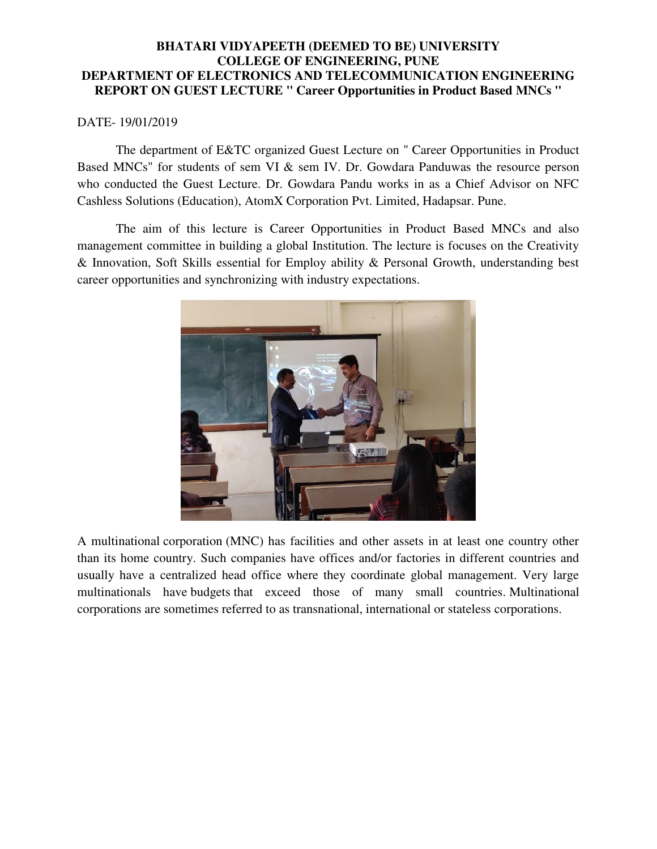#### **BHATARI VIDYAPEETH (DEEMED TO BE) UNIVERSITY COLLEGE OF ENGINEERING, PUNE DEPARTMENT OF ELECTRONICS AND TELECOMMUNICATION ENGINEERING REPORT ON GUEST LECTURE " Career Opportunities in Product Based MNCs "**

#### DATE- 19/01/2019

 The department of E&TC organized Guest Lecture on " Career Opportunities in Product Based MNCs" for students of sem VI & sem IV. Dr. Gowdara Panduwas the resource person who conducted the Guest Lecture. Dr. Gowdara Pandu works in as a Chief Advisor on NFC Cashless Solutions (Education), AtomX Corporation Pvt. Limited, Hadapsar. Pune.

 The aim of this lecture is Career Opportunities in Product Based MNCs and also management committee in building a global Institution. The lecture is focuses on the Creativity & Innovation, Soft Skills essential for Employ ability & Personal Growth, understanding best career opportunities and synchronizing with industry expectations.



A multinational [corporation](https://www.investopedia.com/terms/c/corporation.asp) (MNC) has facilities and other assets in at least one country other than its home country. Such companies have offices and/or factories in different countries and usually have a centralized head office where they coordinate global management. Very large multinationals have [budgets](https://www.investopedia.com/terms/b/budget.asp) that exceed those of many small countries. Multinational corporations are sometimes referred to as transnational, international or stateless corporations.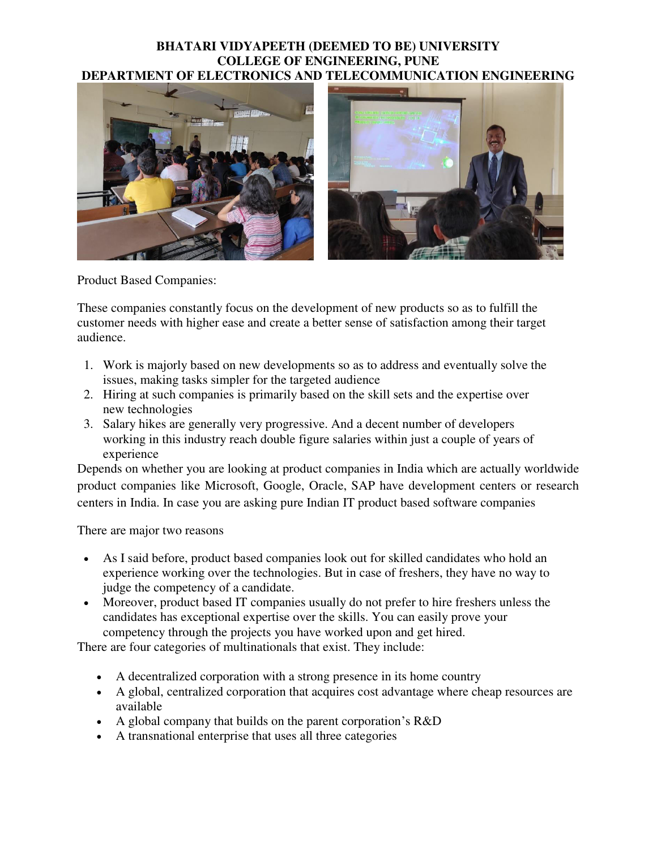### **BHATARI VIDYAPEETH (DEEMED TO BE) UNIVERSITY COLLEGE OF ENGINEERING, PUNE DEPARTMENT OF ELECTRONICS AND TELECOMMUNICATION ENGINEERING**



Product Based Companies:

These companies constantly focus on the development of new products so as to fulfill the customer needs with higher ease and create a better sense of satisfaction among their target audience.

- 1. Work is majorly based on new developments so as to address and eventually solve the issues, making tasks simpler for the targeted audience
- 2. Hiring at such companies is primarily based on the skill sets and the expertise over new technologies
- 3. Salary hikes are generally very progressive. And a decent number of developers working in this industry reach double figure salaries within just a couple of years of experience

Depends on whether you are looking at product companies in India which are actually worldwide product companies like Microsoft, Google, Oracle, SAP have development centers or research centers in India. In case you are asking pure Indian IT product based software companies

There are major two reasons

- As I said before, product based companies look out for skilled candidates who hold an experience working over the technologies. But in case of freshers, they have no way to judge the competency of a candidate.
- Moreover, product based IT companies usually do not prefer to hire freshers unless the candidates has exceptional expertise over the skills. You can easily prove your competency through the projects you have worked upon and get hired.

There are four categories of multinationals that exist. They include:

- A decentralized corporation with a strong presence in its home country
- A global, centralized corporation that acquires cost advantage where cheap resources are available
- A global company that builds on the parent corporation's R&D
- A transnational enterprise that uses all three categories